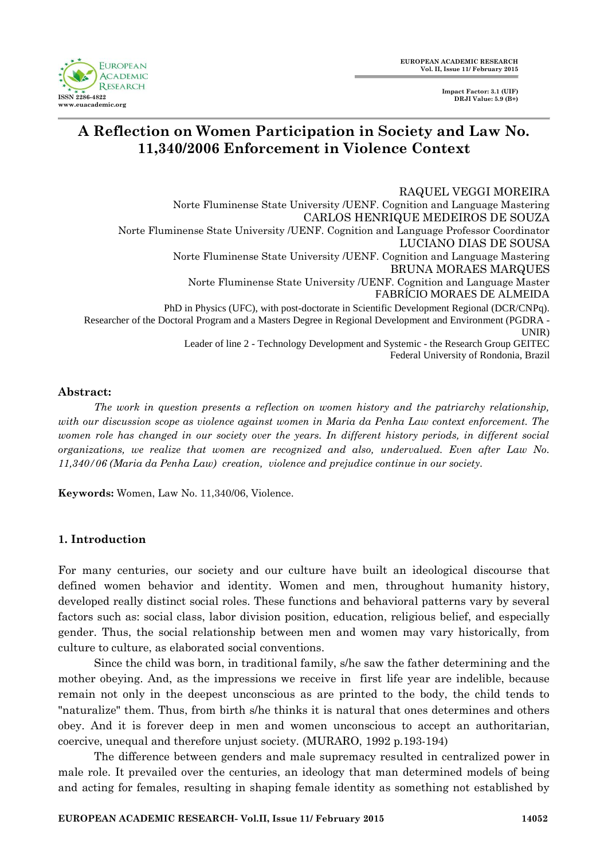**EUROPEAN ACADEMIC RESEARCH ISSN 2286-4822 www.euacademic.org**

**Impact Factor: 3.1 (UIF) DRJI Value: 5.9 (B+)**

# **A Reflection on Women Participation in Society and Law No. 11,340/2006 Enforcement in Violence Context**

 RAQUEL VEGGI MOREIRA Norte Fluminense State University /UENF. Cognition and Language Mastering CARLOS HENRIQUE MEDEIROS DE SOUZA Norte Fluminense State University /UENF. Cognition and Language Professor Coordinator LUCIANO DIAS DE SOUSA Norte Fluminense State University /UENF. Cognition and Language Mastering BRUNA MORAES MARQUES Norte Fluminense State University /UENF. Cognition and Language Master FABRÍCIO MORAES DE ALMEIDA PhD in Physics (UFC), with post-doctorate in Scientific Development Regional (DCR/CNPq). Researcher of the Doctoral Program and a Masters Degree in Regional Development and Environment (PGDRA - UNIR) Leader of line 2 - Technology Development and Systemic - the Research Group GEITEC

Federal University of Rondonia, Brazil

### **Abstract:**

*The work in question presents a reflection on women history and the patriarchy relationship, with our discussion scope as violence against women in Maria da Penha Law context enforcement. The women role has changed in our society over the years. In different history periods, in different social organizations, we realize that women are recognized and also, undervalued. Even after Law No. 11,340/06 (Maria da Penha Law) creation, violence and prejudice continue in our society.*

**Keywords:** Women, Law No. 11,340/06, Violence.

## **1. Introduction**

For many centuries, our society and our culture have built an ideological discourse that defined women behavior and identity. Women and men, throughout humanity history, developed really distinct social roles. These functions and behavioral patterns vary by several factors such as: social class, labor division position, education, religious belief, and especially gender. Thus, the social relationship between men and women may vary historically, from culture to culture, as elaborated social conventions.

Since the child was born, in traditional family, s/he saw the father determining and the mother obeying. And, as the impressions we receive in first life year are indelible, because remain not only in the deepest unconscious as are printed to the body, the child tends to "naturalize" them. Thus, from birth s/he thinks it is natural that ones determines and others obey. And it is forever deep in men and women unconscious to accept an authoritarian, coercive, unequal and therefore unjust society. (MURARO, 1992 p.193-194)

The difference between genders and male supremacy resulted in centralized power in male role. It prevailed over the centuries, an ideology that man determined models of being and acting for females, resulting in shaping female identity as something not established by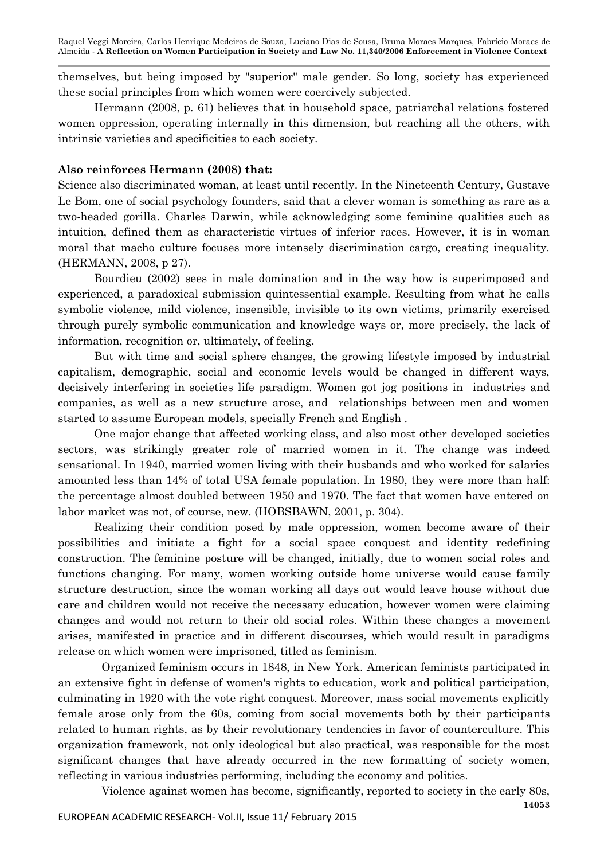themselves, but being imposed by "superior" male gender. So long, society has experienced these social principles from which women were coercively subjected.

Hermann (2008, p. 61) believes that in household space, patriarchal relations fostered women oppression, operating internally in this dimension, but reaching all the others, with intrinsic varieties and specificities to each society.

#### **Also reinforces Hermann (2008) that:**

Science also discriminated woman, at least until recently. In the Nineteenth Century, Gustave Le Bom, one of social psychology founders, said that a clever woman is something as rare as a two-headed gorilla. Charles Darwin, while acknowledging some feminine qualities such as intuition, defined them as characteristic virtues of inferior races. However, it is in woman moral that macho culture focuses more intensely discrimination cargo, creating inequality. (HERMANN, 2008, p 27).

Bourdieu (2002) sees in male domination and in the way how is superimposed and experienced, a paradoxical submission quintessential example. Resulting from what he calls symbolic violence, mild violence, insensible, invisible to its own victims, primarily exercised through purely symbolic communication and knowledge ways or, more precisely, the lack of information, recognition or, ultimately, of feeling.

But with time and social sphere changes, the growing lifestyle imposed by industrial capitalism, demographic, social and economic levels would be changed in different ways, decisively interfering in societies life paradigm. Women got jog positions in industries and companies, as well as a new structure arose, and relationships between men and women started to assume European models, specially French and English .

One major change that affected working class, and also most other developed societies sectors, was strikingly greater role of married women in it. The change was indeed sensational. In 1940, married women living with their husbands and who worked for salaries amounted less than 14% of total USA female population. In 1980, they were more than half: the percentage almost doubled between 1950 and 1970. The fact that women have entered on labor market was not, of course, new. (HOBSBAWN, 2001, p. 304).

Realizing their condition posed by male oppression, women become aware of their possibilities and initiate a fight for a social space conquest and identity redefining construction. The feminine posture will be changed, initially, due to women social roles and functions changing. For many, women working outside home universe would cause family structure destruction, since the woman working all days out would leave house without due care and children would not receive the necessary education, however women were claiming changes and would not return to their old social roles. Within these changes a movement arises, manifested in practice and in different discourses, which would result in paradigms release on which women were imprisoned, titled as feminism.

Organized feminism occurs in 1848, in New York. American feminists participated in an extensive fight in defense of women's rights to education, work and political participation, culminating in 1920 with the vote right conquest. Moreover, mass social movements explicitly female arose only from the 60s, coming from social movements both by their participants related to human rights, as by their revolutionary tendencies in favor of counterculture. This organization framework, not only ideological but also practical, was responsible for the most significant changes that have already occurred in the new formatting of society women, reflecting in various industries performing, including the economy and politics.

**14053** Violence against women has become, significantly, reported to society in the early 80s,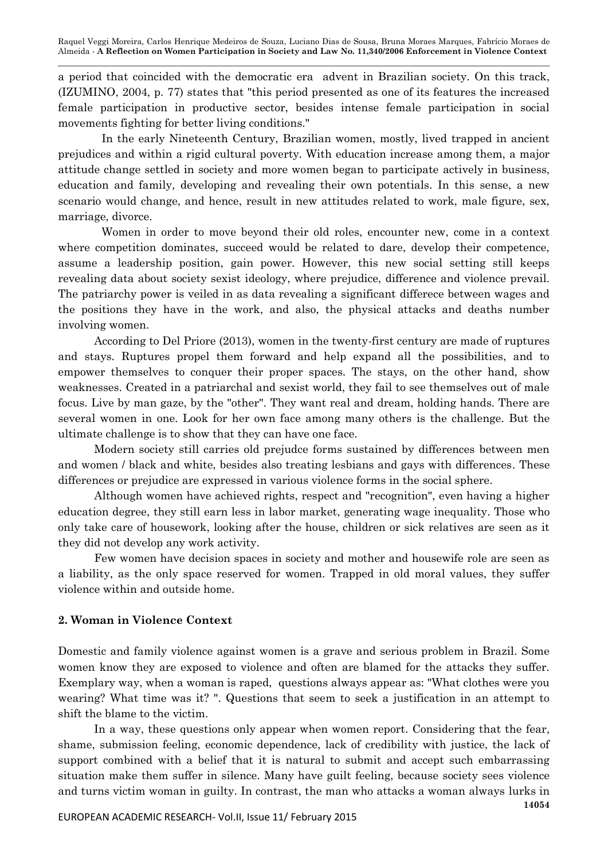a period that coincided with the democratic era advent in Brazilian society. On this track, (IZUMINO, 2004, p. 77) states that "this period presented as one of its features the increased female participation in productive sector, besides intense female participation in social movements fighting for better living conditions."

In the early Nineteenth Century, Brazilian women, mostly, lived trapped in ancient prejudices and within a rigid cultural poverty. With education increase among them, a major attitude change settled in society and more women began to participate actively in business, education and family, developing and revealing their own potentials. In this sense, a new scenario would change, and hence, result in new attitudes related to work, male figure, sex, marriage, divorce.

Women in order to move beyond their old roles, encounter new, come in a context where competition dominates, succeed would be related to dare, develop their competence, assume a leadership position, gain power. However, this new social setting still keeps revealing data about society sexist ideology, where prejudice, difference and violence prevail. The patriarchy power is veiled in as data revealing a significant differece between wages and the positions they have in the work, and also, the physical attacks and deaths number involving women.

According to Del Priore (2013), women in the twenty-first century are made of ruptures and stays. Ruptures propel them forward and help expand all the possibilities, and to empower themselves to conquer their proper spaces. The stays, on the other hand, show weaknesses. Created in a patriarchal and sexist world, they fail to see themselves out of male focus. Live by man gaze, by the "other". They want real and dream, holding hands. There are several women in one. Look for her own face among many others is the challenge. But the ultimate challenge is to show that they can have one face.

Modern society still carries old prejudce forms sustained by differences between men and women / black and white, besides also treating lesbians and gays with differences. These differences or prejudice are expressed in various violence forms in the social sphere.

Although women have achieved rights, respect and "recognition", even having a higher education degree, they still earn less in labor market, generating wage inequality. Those who only take care of housework, looking after the house, children or sick relatives are seen as it they did not develop any work activity.

Few women have decision spaces in society and mother and housewife role are seen as a liability, as the only space reserved for women. Trapped in old moral values, they suffer violence within and outside home.

#### **2. Woman in Violence Context**

Domestic and family violence against women is a grave and serious problem in Brazil. Some women know they are exposed to violence and often are blamed for the attacks they suffer. Exemplary way, when a woman is raped, questions always appear as: "What clothes were you wearing? What time was it? ". Questions that seem to seek a justification in an attempt to shift the blame to the victim.

In a way, these questions only appear when women report. Considering that the fear, shame, submission feeling, economic dependence, lack of credibility with justice, the lack of support combined with a belief that it is natural to submit and accept such embarrassing situation make them suffer in silence. Many have guilt feeling, because society sees violence and turns victim woman in guilty. In contrast, the man who attacks a woman always lurks in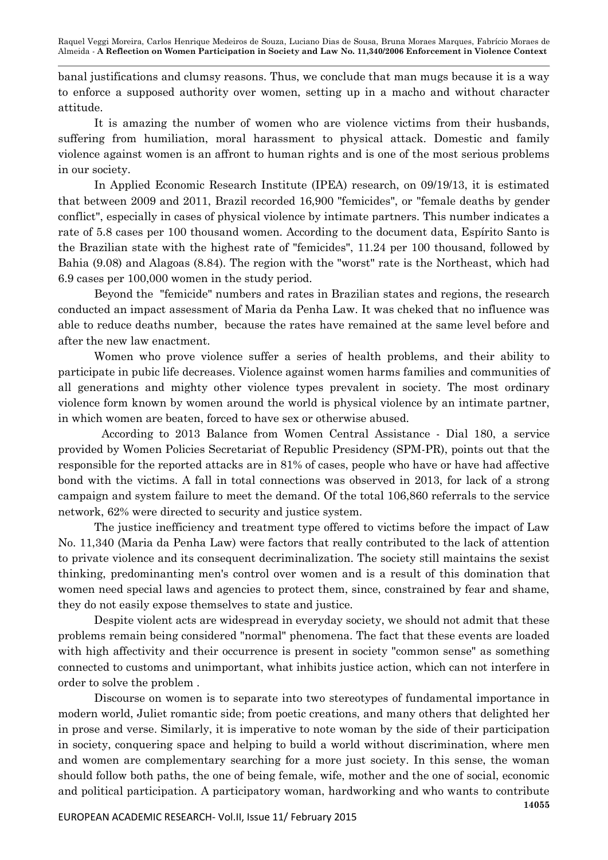banal justifications and clumsy reasons. Thus, we conclude that man mugs because it is a way to enforce a supposed authority over women, setting up in a macho and without character attitude.

It is amazing the number of women who are violence victims from their husbands, suffering from humiliation, moral harassment to physical attack. Domestic and family violence against women is an affront to human rights and is one of the most serious problems in our society.

In Applied Economic Research Institute (IPEA) research, on 09/19/13, it is estimated that between 2009 and 2011, Brazil recorded 16,900 "femicides", or "female deaths by gender conflict", especially in cases of physical violence by intimate partners. This number indicates a rate of 5.8 cases per 100 thousand women. According to the document data, Espírito Santo is the Brazilian state with the highest rate of "femicides", 11.24 per 100 thousand, followed by Bahia (9.08) and Alagoas (8.84). The region with the "worst" rate is the Northeast, which had 6.9 cases per 100,000 women in the study period.

Beyond the "femicide" numbers and rates in Brazilian states and regions, the research conducted an impact assessment of Maria da Penha Law. It was cheked that no influence was able to reduce deaths number, because the rates have remained at the same level before and after the new law enactment.

Women who prove violence suffer a series of health problems, and their ability to participate in pubic life decreases. Violence against women harms families and communities of all generations and mighty other violence types prevalent in society. The most ordinary violence form known by women around the world is physical violence by an intimate partner, in which women are beaten, forced to have sex or otherwise abused.

According to 2013 Balance from Women Central Assistance - Dial 180, a service provided by Women Policies Secretariat of Republic Presidency (SPM-PR), points out that the responsible for the reported attacks are in 81% of cases, people who have or have had affective bond with the victims. A fall in total connections was observed in 2013, for lack of a strong campaign and system failure to meet the demand. Of the total 106,860 referrals to the service network, 62% were directed to security and justice system.

The justice inefficiency and treatment type offered to victims before the impact of Law No. 11,340 (Maria da Penha Law) were factors that really contributed to the lack of attention to private violence and its consequent decriminalization. The society still maintains the sexist thinking, predominanting men's control over women and is a result of this domination that women need special laws and agencies to protect them, since, constrained by fear and shame, they do not easily expose themselves to state and justice.

Despite violent acts are widespread in everyday society, we should not admit that these problems remain being considered "normal" phenomena. The fact that these events are loaded with high affectivity and their occurrence is present in society "common sense" as something connected to customs and unimportant, what inhibits justice action, which can not interfere in order to solve the problem .

Discourse on women is to separate into two stereotypes of fundamental importance in modern world, Juliet romantic side; from poetic creations, and many others that delighted her in prose and verse. Similarly, it is imperative to note woman by the side of their participation in society, conquering space and helping to build a world without discrimination, where men and women are complementary searching for a more just society. In this sense, the woman should follow both paths, the one of being female, wife, mother and the one of social, economic and political participation. A participatory woman, hardworking and who wants to contribute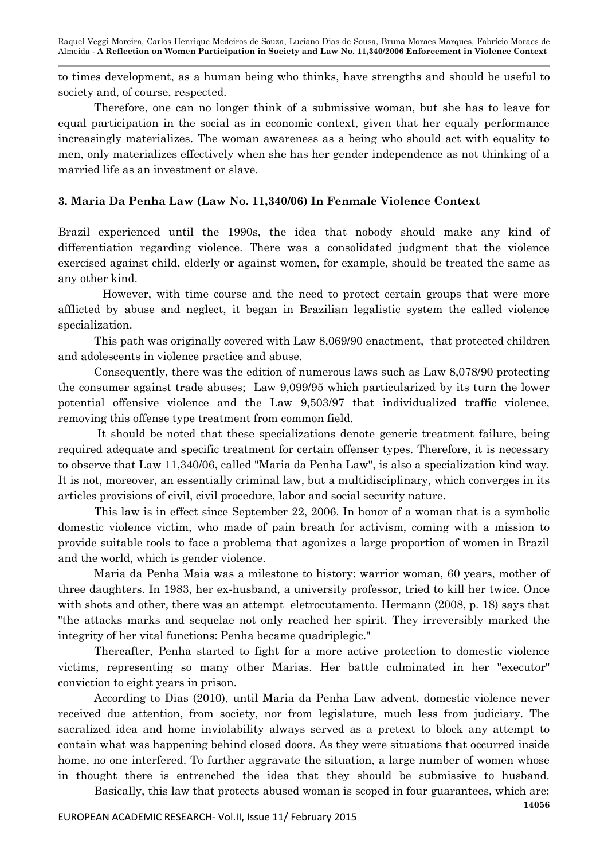to times development, as a human being who thinks, have strengths and should be useful to society and, of course, respected.

Therefore, one can no longer think of a submissive woman, but she has to leave for equal participation in the social as in economic context, given that her equaly performance increasingly materializes. The woman awareness as a being who should act with equality to men, only materializes effectively when she has her gender independence as not thinking of a married life as an investment or slave.

## **3. Maria Da Penha Law (Law No. 11,340/06) In Fenmale Violence Context**

Brazil experienced until the 1990s, the idea that nobody should make any kind of differentiation regarding violence. There was a consolidated judgment that the violence exercised against child, elderly or against women, for example, should be treated the same as any other kind.

However, with time course and the need to protect certain groups that were more afflicted by abuse and neglect, it began in Brazilian legalistic system the called violence specialization.

This path was originally covered with Law 8,069/90 enactment, that protected children and adolescents in violence practice and abuse.

Consequently, there was the edition of numerous laws such as Law 8,078/90 protecting the consumer against trade abuses; Law 9,099/95 which particularized by its turn the lower potential offensive violence and the Law 9,503/97 that individualized traffic violence, removing this offense type treatment from common field.

It should be noted that these specializations denote generic treatment failure, being required adequate and specific treatment for certain offenser types. Therefore, it is necessary to observe that Law 11,340/06, called "Maria da Penha Law", is also a specialization kind way. It is not, moreover, an essentially criminal law, but a multidisciplinary, which converges in its articles provisions of civil, civil procedure, labor and social security nature.

This law is in effect since September 22, 2006. In honor of a woman that is a symbolic domestic violence victim, who made of pain breath for activism, coming with a mission to provide suitable tools to face a problema that agonizes a large proportion of women in Brazil and the world, which is gender violence.

Maria da Penha Maia was a milestone to history: warrior woman, 60 years, mother of three daughters. In 1983, her ex-husband, a university professor, tried to kill her twice. Once with shots and other, there was an attempt eletrocutamento. Hermann (2008, p. 18) says that "the attacks marks and sequelae not only reached her spirit. They irreversibly marked the integrity of her vital functions: Penha became quadriplegic."

Thereafter, Penha started to fight for a more active protection to domestic violence victims, representing so many other Marias. Her battle culminated in her "executor" conviction to eight years in prison.

According to Dias (2010), until Maria da Penha Law advent, domestic violence never received due attention, from society, nor from legislature, much less from judiciary. The sacralized idea and home inviolability always served as a pretext to block any attempt to contain what was happening behind closed doors. As they were situations that occurred inside home, no one interfered. To further aggravate the situation, a large number of women whose in thought there is entrenched the idea that they should be submissive to husband.

**14056** EUROPEAN ACADEMIC RESEARCH- Vol.II, Issue 11/ February 2015 Basically, this law that protects abused woman is scoped in four guarantees, which are: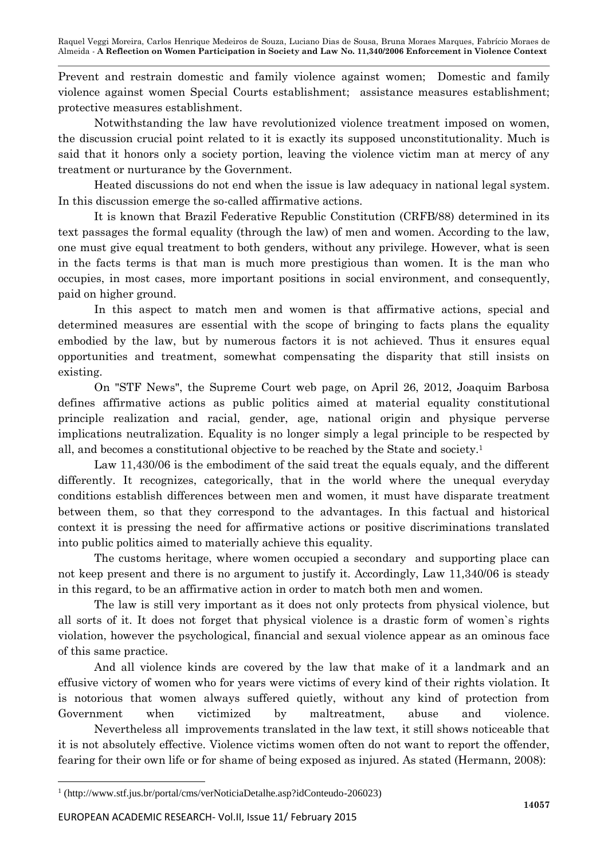Prevent and restrain domestic and family violence against women; Domestic and family violence against women Special Courts establishment; assistance measures establishment; protective measures establishment.

Notwithstanding the law have revolutionized violence treatment imposed on women, the discussion crucial point related to it is exactly its supposed unconstitutionality. Much is said that it honors only a society portion, leaving the violence victim man at mercy of any treatment or nurturance by the Government.

Heated discussions do not end when the issue is law adequacy in national legal system. In this discussion emerge the so-called affirmative actions.

It is known that Brazil Federative Republic Constitution (CRFB/88) determined in its text passages the formal equality (through the law) of men and women. According to the law, one must give equal treatment to both genders, without any privilege. However, what is seen in the facts terms is that man is much more prestigious than women. It is the man who occupies, in most cases, more important positions in social environment, and consequently, paid on higher ground.

In this aspect to match men and women is that affirmative actions, special and determined measures are essential with the scope of bringing to facts plans the equality embodied by the law, but by numerous factors it is not achieved. Thus it ensures equal opportunities and treatment, somewhat compensating the disparity that still insists on existing.

On "STF News", the Supreme Court web page, on April 26, 2012, Joaquim Barbosa defines affirmative actions as public politics aimed at material equality constitutional principle realization and racial, gender, age, national origin and physique perverse implications neutralization. Equality is no longer simply a legal principle to be respected by all, and becomes a constitutional objective to be reached by the State and society.<sup>1</sup>

Law 11,430/06 is the embodiment of the said treat the equals equaly, and the different differently. It recognizes, categorically, that in the world where the unequal everyday conditions establish differences between men and women, it must have disparate treatment between them, so that they correspond to the advantages. In this factual and historical context it is pressing the need for affirmative actions or positive discriminations translated into public politics aimed to materially achieve this equality.

The customs heritage, where women occupied a secondary and supporting place can not keep present and there is no argument to justify it. Accordingly, Law 11,340/06 is steady in this regard, to be an affirmative action in order to match both men and women.

The law is still very important as it does not only protects from physical violence, but all sorts of it. It does not forget that physical violence is a drastic form of women`s rights violation, however the psychological, financial and sexual violence appear as an ominous face of this same practice.

And all violence kinds are covered by the law that make of it a landmark and an effusive victory of women who for years were victims of every kind of their rights violation. It is notorious that women always suffered quietly, without any kind of protection from Government when victimized by maltreatment, abuse and violence.

Nevertheless all improvements translated in the law text, it still shows noticeable that it is not absolutely effective. Violence victims women often do not want to report the offender, fearing for their own life or for shame of being exposed as injured. As stated (Hermann, 2008):

 $\overline{a}$ 1 (http://www.stf.jus.br/portal/cms/verNoticiaDetalhe.asp?idConteudo-206023)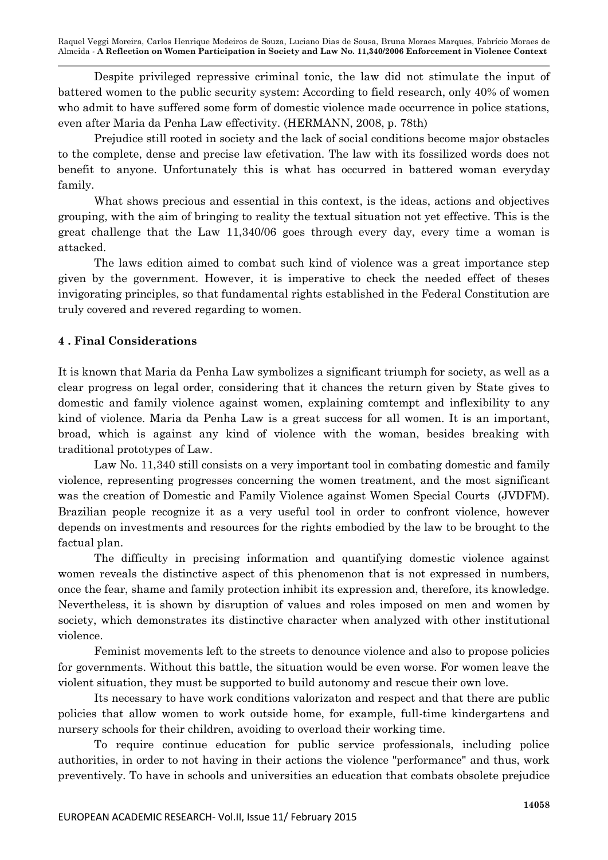Despite privileged repressive criminal tonic, the law did not stimulate the input of battered women to the public security system: According to field research, only 40% of women who admit to have suffered some form of domestic violence made occurrence in police stations, even after Maria da Penha Law effectivity. (HERMANN, 2008, p. 78th)

Prejudice still rooted in society and the lack of social conditions become major obstacles to the complete, dense and precise law efetivation. The law with its fossilized words does not benefit to anyone. Unfortunately this is what has occurred in battered woman everyday family.

What shows precious and essential in this context, is the ideas, actions and objectives grouping, with the aim of bringing to reality the textual situation not yet effective. This is the great challenge that the Law 11,340/06 goes through every day, every time a woman is attacked.

The laws edition aimed to combat such kind of violence was a great importance step given by the government. However, it is imperative to check the needed effect of theses invigorating principles, so that fundamental rights established in the Federal Constitution are truly covered and revered regarding to women.

## **4 . Final Considerations**

It is known that Maria da Penha Law symbolizes a significant triumph for society, as well as a clear progress on legal order, considering that it chances the return given by State gives to domestic and family violence against women, explaining comtempt and inflexibility to any kind of violence. Maria da Penha Law is a great success for all women. It is an important, broad, which is against any kind of violence with the woman, besides breaking with traditional prototypes of Law.

Law No. 11,340 still consists on a very important tool in combating domestic and family violence, representing progresses concerning the women treatment, and the most significant was the creation of Domestic and Family Violence against Women Special Courts (JVDFM). Brazilian people recognize it as a very useful tool in order to confront violence, however depends on investments and resources for the rights embodied by the law to be brought to the factual plan.

The difficulty in precising information and quantifying domestic violence against women reveals the distinctive aspect of this phenomenon that is not expressed in numbers, once the fear, shame and family protection inhibit its expression and, therefore, its knowledge. Nevertheless, it is shown by disruption of values and roles imposed on men and women by society, which demonstrates its distinctive character when analyzed with other institutional violence.

Feminist movements left to the streets to denounce violence and also to propose policies for governments. Without this battle, the situation would be even worse. For women leave the violent situation, they must be supported to build autonomy and rescue their own love.

Its necessary to have work conditions valorizaton and respect and that there are public policies that allow women to work outside home, for example, full-time kindergartens and nursery schools for their children, avoiding to overload their working time.

To require continue education for public service professionals, including police authorities, in order to not having in their actions the violence "performance" and thus, work preventively. To have in schools and universities an education that combats obsolete prejudice